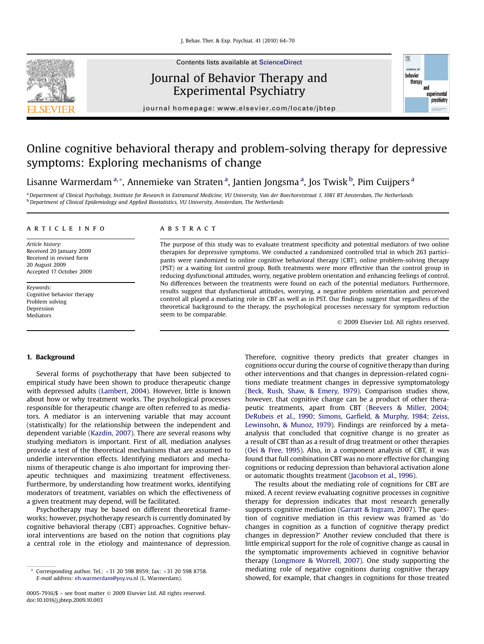J. Behav. Ther. & Exp. Psychiat. 41 (2010) 64–70



Contents lists available at [ScienceDirect](www.sciencedirect.com/science/journal/00057916)

## Journal of Behavior Therapy and Experimental Psychiatry



journal homepage: [www.elsevier.com/locate/jbtep](http://www.elsevier.com/locate/jbtep)

# Online cognitive behavioral therapy and problem-solving therapy for depressive symptoms: Exploring mechanisms of change

Lisanne Warmerdam <sup>a, "</sup>, Annemieke van Straten <sup>a</sup>, Jantien Jongsma <sup>a</sup>, Jos Twisk <sup>b</sup>, Pim Cuijpers <sup>a</sup>

a Department of Clinical Psychology, Institute for Research in Extramural Medicine, VU University, Van der Boechorststraat 1, 1081 BT Amsterdam, The Netherlands <sup>b</sup> Department of Clinical Epidemiology and Applied Biostatistics, VU University, Amsterdam, The Netherlands

#### article info

Article history: Received 20 January 2009 Received in revised form 20 August 2009 Accepted 17 October 2009

Keywords: Cognitive behavior therapy Problem solving Depression Mediators

#### **ABSTRACT**

The purpose of this study was to evaluate treatment specificity and potential mediators of two online therapies for depressive symptoms. We conducted a randomized controlled trial in which 263 participants were randomized to online cognitive behavioral therapy (CBT), online problem-solving therapy (PST) or a waiting list control group. Both treatments were more effective than the control group in reducing dysfunctional attitudes, worry, negative problem orientation and enhancing feelings of control. No differences between the treatments were found on each of the potential mediators. Furthermore, results suggest that dysfunctional attitudes, worrying, a negative problem orientation and perceived control all played a mediating role in CBT as well as in PST. Our findings suggest that regardless of the theoretical background to the therapy, the psychological processes necessary for symptom reduction seem to be comparable.

- 2009 Elsevier Ltd. All rights reserved.

## 1. Background

Several forms of psychotherapy that have been subjected to empirical study have been shown to produce therapeutic change with depressed adults ([Lambert, 2004](#page-6-0)). However, little is known about how or why treatment works. The psychological processes responsible for therapeutic change are often referred to as mediators. A mediator is an intervening variable that may account (statistically) for the relationship between the independent and dependent variable ([Kazdin, 2007](#page-6-0)). There are several reasons why studying mediators is important. First of all, mediation analyses provide a test of the theoretical mechanisms that are assumed to underlie intervention effects. Identifying mediators and mechanisms of therapeutic change is also important for improving therapeutic techniques and maximizing treatment effectiveness. Furthermore, by understanding how treatment works, identifying moderators of treatment, variables on which the effectiveness of a given treatment may depend, will be facilitated.

Psychotherapy may be based on different theoretical frameworks; however, psychotherapy research is currently dominated by cognitive behavioral therapy (CBT) approaches. Cognitive behavioral interventions are based on the notion that cognitions play a central role in the etiology and maintenance of depression. Therefore, cognitive theory predicts that greater changes in cognitions occur during the course of cognitive therapy than during other interventions and that changes in depression-related cognitions mediate treatment changes in depressive symptomatology ([Beck, Rush, Shaw, & Emery, 1979\)](#page-6-0). Comparison studies show, however, that cognitive change can be a product of other therapeutic treatments, apart from CBT ([Beevers & Miller, 2004;](#page-6-0) [DeRubeis et al., 1990; Simons, Garfield, & Murphy, 1984; Zeiss,](#page-6-0) [Lewinsohn, & Munoz, 1979](#page-6-0)). Findings are reinforced by a metaanalysis that concluded that cognitive change is no greater as a result of CBT than as a result of drug treatment or other therapies ([Oei & Free, 1995\)](#page-6-0). Also, in a component analysis of CBT, it was found that full combination CBT was no more effective for changing cognitions or reducing depression than behavioral activation alone or automatic thoughts treatment ([Jacobson et al., 1996](#page-6-0)).

The results about the mediating role of cognitions for CBT are mixed. A recent review evaluating cognitive processes in cognitive therapy for depression indicates that most research generally supports cognitive mediation ([Garratt & Ingram, 20](#page-6-0)07). The question of cognitive mediation in this review was framed as 'do changes in cognition as a function of cognitive therapy predict changes in depression?' Another review concluded that there is little empirical support for the role of cognitive change as causal in the symptomatic improvements achieved in cognitive behavior therapy ([Longmore & Worrell, 2007\)](#page-6-0). One study supporting the mediating role of negative cognitions during cognitive therapy showed, for example, that changes in cognitions for those treated

Corresponding author. Tel.:  $+31$  20 598 8959; fax:  $+31$  20 598 8758. E-mail address: [eh.warmerdam@psy.vu.nl](mailto:eh.warmerdam@psy.vu.nl) (L. Warmerdam).

<sup>0005-7916/\$ –</sup> see front matter © 2009 Elsevier Ltd. All rights reserved. doi:10.1016/j.jbtep.2009.10.003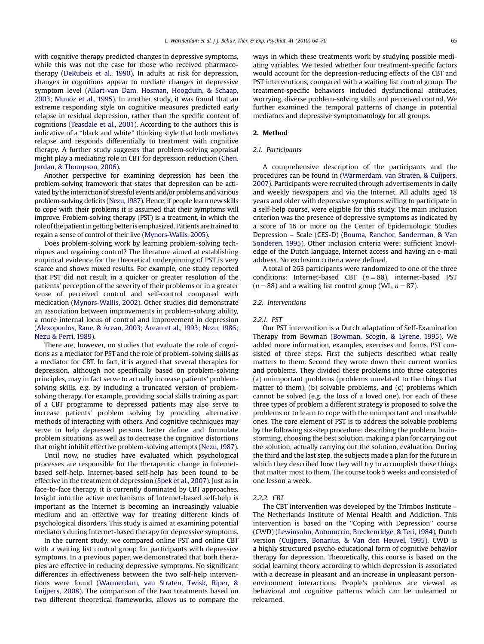with cognitive therapy predicted changes in depressive symptoms, while this was not the case for those who received pharmacotherapy [\(DeRubeis et al., 1990\)](#page-6-0). In adults at risk for depression, changes in cognitions appear to mediate changes in depressive symptom level ([Allart-van Dam, Hosman, Hoogduin, & Schaap,](#page-5-0) [2003; Munoz et al., 1995](#page-5-0)). In another study, it was found that an extreme responding style on cognitive measures predicted early relapse in residual depression, rather than the specific content of cognitions ([Teasdale et al., 2001\)](#page-6-0). According to the authors this is indicative of a ''black and white'' thinking style that both mediates relapse and responds differentially to treatment with cognitive therapy. A further study suggests that problem-solving appraisal might play a mediating role in CBT for depression reduction [\(Chen,](#page-6-0) [Jordan, & Thompson, 2006](#page-6-0)).

Another perspective for examining depression has been the problem-solving framework that states that depression can be activated by the interaction of stressful events and/or problems and various problem-solving deficits [\(Nezu,1987](#page-6-0)). Hence, if people learn new skills to cope with their problems it is assumed that their symptoms will improve. Problem-solving therapy (PST) is a treatment, in which the role of the patient in getting better is emphasized. Patients are trained to regain a sense of control of their live ([Mynors-Wallis, 2005\)](#page-6-0).

Does problem-solving work by learning problem-solving techniques and regaining control? The literature aimed at establishing empirical evidence for the theoretical underpinning of PST is very scarce and shows mixed results. For example, one study reported that PST did not result in a quicker or greater resolution of the patients' perception of the severity of their problems or in a greater sense of perceived control and self-control compared with medication ([Mynors-Wallis, 2002\)](#page-6-0). Other studies did demonstrate an association between improvements in problem-solving ability, a more internal locus of control and improvement in depression ([Alexopoulos, Raue, & Arean, 2003; Arean et al., 1993; Nezu, 1986;](#page-5-0) [Nezu & Perri, 1989\)](#page-5-0).

There are, however, no studies that evaluate the role of cognitions as a mediator for PST and the role of problem-solving skills as a mediator for CBT. In fact, it is argued that several therapies for depression, although not specifically based on problem-solving principles, may in fact serve to actually increase patients' problemsolving skills, e.g. by including a truncated version of problemsolving therapy. For example, providing social skills training as part of a CBT programme to depressed patients may also serve to increase patients' problem solving by providing alternative methods of interacting with others. And cognitive techniques may serve to help depressed persons better define and formulate problem situations, as well as to decrease the cognitive distortions that might inhibit effective problem-solving attempts ([Nezu, 1987\)](#page-6-0).

Until now, no studies have evaluated which psychological processes are responsible for the therapeutic change in Internetbased self-help. Internet-based self-help has been found to be effective in the treatment of depression ([Spek et al., 2007](#page-6-0)). Just as in face-to-face therapy, it is currently dominated by CBT approaches. Insight into the active mechanisms of Internet-based self-help is important as the Internet is becoming an increasingly valuable medium and an effective way for treating different kinds of psychological disorders. This study is aimed at examining potential mediators during Internet-based therapy for depressive symptoms.

In the current study, we compared online PST and online CBT with a waiting list control group for participants with depressive symptoms. In a previous paper, we demonstrated that both therapies are effective in reducing depressive symptoms. No significant differences in effectiveness between the two self-help interventions were found [\(Warmerdam, van Straten, Twisk, Riper, &](#page-6-0) [Cuijpers, 2008\)](#page-6-0). The comparison of the two treatments based on two different theoretical frameworks, allows us to compare the ways in which these treatments work by studying possible mediating variables. We tested whether four treatment-specific factors would account for the depression-reducing effects of the CBT and PST interventions, compared with a waiting list control group. The treatment-specific behaviors included dysfunctional attitudes, worrying, diverse problem-solving skills and perceived control. We further examined the temporal patterns of change in potential mediators and depressive symptomatology for all groups.

## 2. Method

## 2.1. Participants

A comprehensive description of the participants and the procedures can be found in ([Warmerdam, van Straten, & Cuijpers,](#page-6-0) [2007\)](#page-6-0). Participants were recruited through advertisements in daily and weekly newspapers and via the Internet. All adults aged 18 years and older with depressive symptoms willing to participate in a self-help course, were eligible for this study. The main inclusion criterion was the presence of depressive symptoms as indicated by a score of 16 or more on the Center of Epidemiologic Studies Depression – Scale (CES-D) [\(Bouma, Ranchor, Sanderman, & Van](#page-6-0) [Sonderen, 1995\)](#page-6-0). Other inclusion criteria were: sufficient knowledge of the Dutch language, Internet access and having an e-mail address. No exclusion criteria were defined.

A total of 263 participants were randomized to one of the three conditions: Internet-based CBT  $(n = 88)$ , internet-based PST  $(n = 88)$  and a waiting list control group (WL,  $n = 87$ ).

### 2.2. Interventions

#### 2.2.1. PST

Our PST intervention is a Dutch adaptation of Self-Examination Therapy from Bowman [\(Bowman, Scogin, & Lyrene, 1995\)](#page-6-0). We added more information, examples, exercises and forms. PST consisted of three steps. First the subjects described what really matters to them. Second they wrote down their current worries and problems. They divided these problems into three categories (a) unimportant problems (problems unrelated to the things that matter to them), (b) solvable problems, and (c) problems which cannot be solved (e.g. the loss of a loved one). For each of these three types of problem a different strategy is proposed to solve the problems or to learn to cope with the unimportant and unsolvable ones. The core element of PST is to address the solvable problems by the following six-step procedure: describing the problem, brainstorming, choosing the best solution, making a plan for carrying out the solution, actually carrying out the solution, evaluation. During the third and the last step, the subjects made a plan for the future in which they described how they will try to accomplish those things that matter most to them. The course took 5 weeks and consisted of one lesson a week.

## 2.2.2. CBT

The CBT intervention was developed by the Trimbos Institute – The Netherlands Institute of Mental Health and Addiction. This intervention is based on the ''Coping with Depression'' course (CWD) [\(Lewinsohn, Antonuccio, Breckenridge, & Teri, 1984\)](#page-6-0), Dutch version ([Cuijpers, Bonarius, & Van den Heuvel, 1995\)](#page-6-0). CWD is a highly structured psycho-educational form of cognitive behavior therapy for depression. Theoretically, this course is based on the social learning theory according to which depression is associated with a decrease in pleasant and an increase in unpleasant personenvironment interactions. People's problems are viewed as behavioral and cognitive patterns which can be unlearned or relearned.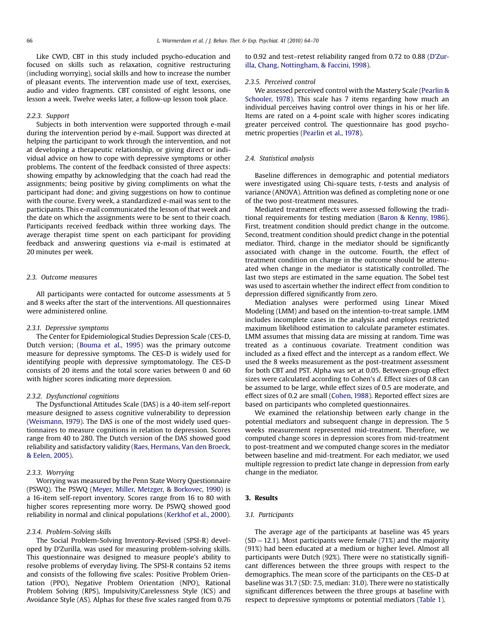Like CWD, CBT in this study included psycho-education and focused on skills such as relaxation, cognitive restructuring (including worrying), social skills and how to increase the number of pleasant events. The intervention made use of text, exercises, audio and video fragments. CBT consisted of eight lessons, one lesson a week. Twelve weeks later, a follow-up lesson took place.

#### 2.2.3. Support

Subjects in both intervention were supported through e-mail during the intervention period by e-mail. Support was directed at helping the participant to work through the intervention, and not at developing a therapeutic relationship, or giving direct or individual advice on how to cope with depressive symptoms or other problems. The content of the feedback consisted of three aspects: showing empathy by acknowledging that the coach had read the assignments; being positive by giving compliments on what the participant had done; and giving suggestions on how to continue with the course. Every week, a standardized e-mail was sent to the participants. This e-mail communicated the lesson of that week and the date on which the assignments were to be sent to their coach. Participants received feedback within three working days. The average therapist time spent on each participant for providing feedback and answering questions via e-mail is estimated at 20 minutes per week.

## 2.3. Outcome measures

All participants were contacted for outcome assessments at 5 and 8 weeks after the start of the interventions. All questionnaires were administered online.

#### 2.3.1. Depressive symptoms

The Center for Epidemiological Studies Depression Scale (CES-D, Dutch version; ([Bouma et al., 1995\)](#page-6-0) was the primary outcome measure for depressive symptoms. The CES-D is widely used for identifying people with depressive symptomatology. The CES-D consists of 20 items and the total score varies between 0 and 60 with higher scores indicating more depression.

#### 2.3.2. Dysfunctional cognitions

The Dysfunctional Attitudes Scale (DAS) is a 40-item self-report measure designed to assess cognitive vulnerability to depression ([Weismann, 1979\)](#page-6-0). The DAS is one of the most widely used questionnaires to measure cognitions in relation to depression. Scores range from 40 to 280. The Dutch version of the DAS showed good reliability and satisfactory validity ([Raes, Hermans, Van den Broeck,](#page-6-0) [& Eelen, 2005](#page-6-0)).

## 2.3.3. Worrying

Worrying was measured by the Penn State Worry Questionnaire (PSWQ). The PSWQ ([Meyer, Miller, Metzger, & Borkovec, 1990\)](#page-6-0) is a 16-item self-report inventory. Scores range from 16 to 80 with higher scores representing more worry. De PSWQ showed good reliability in normal and clinical populations [\(Kerkhof et al., 2000\)](#page-6-0).

#### 2.3.4. Problem-Solving skills

The Social Problem-Solving Inventory-Revised (SPSI-R) developed by D'Zurilla, was used for measuring problem-solving skills. This questionnaire was designed to measure people's ability to resolve problems of everyday living. The SPSI-R contains 52 items and consists of the following five scales: Positive Problem Orientation (PPO), Negative Problem Orientation (NPO), Rational Problem Solving (RPS), Impulsivity/Carelessness Style (ICS) and Avoidance Style (AS). Alphas for these five scales ranged from 0.76 to 0.92 and test–retest reliability ranged from 0.72 to 0.88 [\(D'Zur](#page-6-0)[illa, Chang, Nottingham, & Faccini, 1998](#page-6-0)).

#### 2.3.5. Perceived control

We assessed perceived control with the Mastery Scale [\(Pearlin &](#page-6-0) [Schooler, 1978](#page-6-0)). This scale has 7 items regarding how much an individual perceives having control over things in his or her life. Items are rated on a 4-point scale with higher scores indicating greater perceived control. The questionnaire has good psychometric properties [\(Pearlin et al., 1978](#page-6-0)).

## 2.4. Statistical analysis

Baseline differences in demographic and potential mediators were investigated using Chi-square tests, t-tests and analysis of variance (ANOVA). Attrition was defined as completing none or one of the two post-treatment measures.

Mediated treatment effects were assessed following the traditional requirements for testing mediation ([Baron & Kenny, 1986\)](#page-6-0). First, treatment condition should predict change in the outcome. Second, treatment condition should predict change in the potential mediator. Third, change in the mediator should be significantly associated with change in the outcome. Fourth, the effect of treatment condition on change in the outcome should be attenuated when change in the mediator is statistically controlled. The last two steps are estimated in the same equation. The Sobel test was used to ascertain whether the indirect effect from condition to depression differed significantly from zero.

Mediation analyses were performed using Linear Mixed Modeling (LMM) and based on the intention-to-treat sample. LMM includes incomplete cases in the analysis and employs restricted maximum likelihood estimation to calculate parameter estimates. LMM assumes that missing data are missing at random. Time was treated as a continuous covariate. Treatment condition was included as a fixed effect and the intercept as a random effect. We used the 8 weeks measurement as the post-treatment assessment for both CBT and PST. Alpha was set at 0.05. Between-group effect sizes were calculated according to Cohen's d. Effect sizes of 0.8 can be assumed to be large, while effect sizes of 0.5 are moderate, and effect sizes of 0.2 are small [\(Cohen, 1988\)](#page-6-0). Reported effect sizes are based on participants who completed questionnaires.

We examined the relationship between early change in the potential mediators and subsequent change in depression. The 5 weeks measurement represented mid-treatment. Therefore, we computed change scores in depression scores from mid-treatment to post-treatment and we computed change scores in the mediator between baseline and mid-treatment. For each mediator, we used multiple regression to predict late change in depression from early change in the mediator.

## 3. Results

#### 3.1. Participants

The average age of the participants at baseline was 45 years  $(SD = 12.1)$ . Most participants were female (71%) and the majority (91%) had been educated at a medium or higher level. Almost all participants were Dutch (92%). There were no statistically significant differences between the three groups with respect to the demographics. The mean score of the participants on the CES-D at baseline was 31.7 (SD: 7.5, median: 31.0). There were no statistically significant differences between the three groups at baseline with respect to depressive symptoms or potential mediators [\(Table 1](#page-3-0)).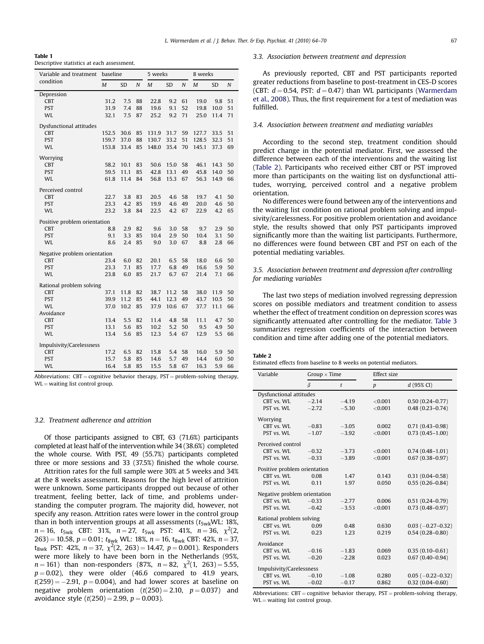<span id="page-3-0"></span>Table 1 Descriptive statistics at each assessment.

| Variable and treatment       | baseline |           |    | 5 weeks |           |    | 8 weeks |           |    |
|------------------------------|----------|-----------|----|---------|-----------|----|---------|-----------|----|
| condition                    | M        | <b>SD</b> | N  | M       | <b>SD</b> | N  | M       | <b>SD</b> | N  |
| Depression                   |          |           |    |         |           |    |         |           |    |
| <b>CBT</b>                   | 31.2     | 7.5       | 88 | 22.8    | 9.2       | 61 | 19.0    | 9.8       | 51 |
| <b>PST</b>                   | 31.9     | 7.4       | 88 | 19.6    | 9.1       | 52 | 19.8    | 10.0      | 51 |
| WL                           | 32.1     | 7.5       | 87 | 25.2    | 9.2       | 71 | 25.0    | 11.4      | 71 |
| Dysfunctional attitudes      |          |           |    |         |           |    |         |           |    |
| <b>CBT</b>                   | 152.5    | 30.6      | 85 | 131.9   | 31.7      | 59 | 127.7   | 33.5      | 51 |
| <b>PST</b>                   | 159.7    | 37.0      | 88 | 130.7   | 33.2      | 51 | 128.5   | 32.3      | 51 |
| <b>WL</b>                    | 153.8    | 33.4      | 85 | 148.0   | 35.4      | 70 | 145.1   | 37.3      | 69 |
| Worrying                     |          |           |    |         |           |    |         |           |    |
| <b>CBT</b>                   | 58.2     | 10.1      | 83 | 50.6    | 15.0      | 58 | 46.1    | 14.3      | 50 |
| <b>PST</b>                   | 59.5     | 11.1      | 85 | 42.8    | 13.1      | 49 | 45.8    | 14.0      | 50 |
| <b>WL</b>                    | 61.8     | 11.4      | 84 | 56.8    | 15.3      | 67 | 56.3    | 14.9      | 66 |
| Perceived control            |          |           |    |         |           |    |         |           |    |
| <b>CBT</b>                   | 22.7     | 3.8       | 83 | 20.5    | 4.6       | 58 | 19.7    | 4.1       | 50 |
| <b>PST</b>                   | 23.3     | 4.2       | 85 | 19.9    | 4.6       | 49 | 20.0    | 4.6       | 50 |
| WL                           | 23.2     | 3.8       | 84 | 22.5    | 4.2       | 67 | 22.9    | 4.2       | 65 |
| Positive problem orientation |          |           |    |         |           |    |         |           |    |
| <b>CBT</b>                   | 8.8      | 2.9       | 82 | 9.6     | 3.0       | 58 | 9.7     | 2.9       | 50 |
| <b>PST</b>                   | 9.1      | 3.3       | 85 | 10.4    | 2.9       | 50 | 10.4    | 3.1       | 50 |
| <b>WL</b>                    | 8.6      | 2.4       | 85 | 9.0     | 3.0       | 67 | 8.8     | 2.8       | 66 |
| Negative problem orientation |          |           |    |         |           |    |         |           |    |
| <b>CBT</b>                   | 23.4     | 6.0       | 82 | 20.1    | 6.5       | 58 | 18.0    | 6.6       | 50 |
| <b>PST</b>                   | 23.3     | 7.1       | 85 | 17.7    | 6.8       | 49 | 16.6    | 5.9       | 50 |
| <b>WL</b>                    | 23.8     | 6.0       | 85 | 21.7    | 6.7       | 67 | 21.4    | 7.1       | 66 |
| Rational problem solving     |          |           |    |         |           |    |         |           |    |
| <b>CBT</b>                   | 37.1     | 11.8      | 82 | 38.7    | 11.2      | 58 | 38.0    | 11.9      | 50 |
| <b>PST</b>                   | 39.9     | 11.2      | 85 | 44.1    | 12.3      | 49 | 43.7    | 10.5      | 50 |
| WI.                          | 37.0     | 10.2      | 85 | 37.9    | 10.6      | 67 | 37.7    | 11.1      | 66 |
| Avoidance                    |          |           |    |         |           |    |         |           |    |
| <b>CBT</b>                   | 13.4     | 5.5       | 82 | 11.4    | 4.8       | 58 | 11.1    | 4.7       | 50 |
| <b>PST</b>                   | 13.1     | 5.6       | 85 | 10.2    | 5.2       | 50 | 9.5     | 4.9       | 50 |
| WI.                          | 13.4     | 5.6       | 85 | 12.3    | 5.4       | 67 | 12.9    | 5.5       | 66 |
| Impulsivity/Carelessness     |          |           |    |         |           |    |         |           |    |
| <b>CBT</b>                   | 17.2     | 6.5       | 82 | 15.8    | 5.4       | 58 | 16.0    | 5.9       | 50 |
| <b>PST</b>                   | 15.7     | 5.8       | 85 | 14.6    | 5.7       | 49 | 14.4    | 6.0       | 50 |
| WL                           | 16.4     | 5.8       | 85 | 15.5    | 5.8       | 67 | 16.3    | 5.9       | 66 |

Abbreviations:  $CBT =$  cognitive behavior therapy,  $PST =$  problem-solving therapy,  $WL = waiting$  list control group.

#### 3.2. Treatment adherence and attrition

Of those participants assigned to CBT, 63 (71.6%) participants completed at least half of the intervention while 34 (38.6%) completed the whole course. With PST, 49 (55.7%) participants completed three or more sessions and 33 (37.5%) finished the whole course.

Attrition rates for the full sample were 30% at 5 weeks and 34% at the 8 weeks assessment. Reasons for the high level of attrition were unknown. Some participants dropped out because of other treatment, feeling better, lack of time, and problems understanding the computer program. The majority did, however, not specify any reason. Attrition rates were lower in the control group than in both intervention groups at all assessments ( $t_{5wk}$ WL: 18%,  $n = 16$ ,  $t_{5wk}$  CBT: 31%,  $n = 27$ ,  $t_{5wk}$  PST: 41%,  $n = 36$ ,  $\chi^2(2,$ 263) = 10.58, p = 0.01;  $t_{8wk}$  WL: 18%, n = 16,  $t_{8wk}$  CBT: 42%, n = 37, t<sub>8wk</sub> PST: 42%,  $n = 37$ ,  $\chi^2(2, 263) = 14.47$ ,  $p = 0.001$ ). Responders were more likely to have been born in the Netherlands (95%,  $n = 161$ ) than non-responders (87%,  $n = 82, \chi^2(1, 263) = 5.55,$  $p = 0.02$ ), they were older (46.6 compared to 41.9 years,  $t(259) = -2.91$ ,  $p = 0.004$ ), and had lower scores at baseline on negative problem orientation  $(t(250) = 2.10, p = 0.037)$  and avoidance style  $(t(250) = 2.99, p = 0.003)$ .

#### 3.3. Association between treatment and depression

As previously reported, CBT and PST participants reported greater reductions from baseline to post-treatment in CES-D scores (CBT:  $d = 0.54$ , PST:  $d = 0.47$ ) than WL participants ([Warmerdam](#page-6-0) [et al., 2008\)](#page-6-0). Thus, the first requirement for a test of mediation was fulfilled.

#### 3.4. Association between treatment and mediating variables

According to the second step, treatment condition should predict change in the potential mediator. First, we assessed the difference between each of the interventions and the waiting list (Table 2). Participants who received either CBT or PST improved more than participants on the waiting list on dysfunctional attitudes, worrying, perceived control and a negative problem orientation.

No differences were found between any of the interventions and the waiting list condition on rational problem solving and impulsivity/carelessness. For positive problem orientation and avoidance style, the results showed that only PST participants improved significantly more than the waiting list participants. Furthermore, no differences were found between CBT and PST on each of the potential mediating variables.

## 3.5. Association between treatment and depression after controlling for mediating variables

The last two steps of mediation involved regressing depression scores on possible mediators and treatment condition to assess whether the effect of treatment condition on depression scores was significantly attenuated after controlling for the mediator. [Table 3](#page-4-0) summarizes regression coefficients of the interaction between condition and time after adding one of the potential mediators.

#### Table 2

| Estimated effects from baseline to 8 weeks on potential mediators. |  |  |  |  |
|--------------------------------------------------------------------|--|--|--|--|
|--------------------------------------------------------------------|--|--|--|--|

| Variable                     |         | Group $\times$ Time |                  |                       |  |  |  |
|------------------------------|---------|---------------------|------------------|-----------------------|--|--|--|
|                              | $\beta$ | t                   | $\boldsymbol{p}$ | $d(95% \text{ CI})$   |  |  |  |
| Dysfunctional attitudes      |         |                     |                  |                       |  |  |  |
| CBT vs. WL                   | $-2.14$ | $-4.19$             | < 0.001          | $0.50(0.24 - 0.77)$   |  |  |  |
| PST vs. WL                   | $-2.72$ | $-5.30$             | < 0.001          | $0.48(0.23 - 0.74)$   |  |  |  |
| Worrying                     |         |                     |                  |                       |  |  |  |
| CBT vs. WL                   | $-0.83$ | $-3.05$             | 0.002            | $0.71(0.43 - 0.98)$   |  |  |  |
| PST vs. WL                   | $-1.07$ | $-3.92$             | < 0.001          | $0.73(0.45 - 1.00)$   |  |  |  |
| Perceived control            |         |                     |                  |                       |  |  |  |
| CBT vs. WL                   | $-0.32$ | $-3.73$             | < 0.001          | $0.74(0.48 - 1.01)$   |  |  |  |
| PST vs. WL                   | $-0.33$ | $-3.89$             | < 0.001          | $0.67(0.38 - 0.97)$   |  |  |  |
| Positive problem orientation |         |                     |                  |                       |  |  |  |
| CBT vs. WL                   | 0.08    | 1.47                | 0.143            | $0.31(0.04 - 0.58)$   |  |  |  |
| PST vs. WL                   | 0.11    | 1.97                | 0.050            | $0.55(0.26 - 0.84)$   |  |  |  |
| Negative problem orientation |         |                     |                  |                       |  |  |  |
| CBT vs. WL                   | $-0.33$ | $-2.77$             | 0.006            | $0.51(0.24 - 0.79)$   |  |  |  |
| PST vs. WL                   | $-0.42$ | $-3.53$             | < 0.001          | $0.73(0.48 - 0.97)$   |  |  |  |
| Rational problem solving     |         |                     |                  |                       |  |  |  |
| CBT vs. WL                   | 0.09    | 0.48                | 0.630            | $0.03 (-0.27 - 0.32)$ |  |  |  |
| PST vs. WL                   | 0.23    | 1.23                | 0.219            | $0.54(0.28 - 0.80)$   |  |  |  |
| Avoidance                    |         |                     |                  |                       |  |  |  |
| CBT vs. WL                   | $-0.16$ | $-1.83$             | 0.069            | $0.35(0.10 - 0.61)$   |  |  |  |
| PST vs. WL                   | $-0.20$ | $-2.28$             | 0.023            | $0.67(0.40 - 0.94)$   |  |  |  |
| Impulsivity/Carelessness     |         |                     |                  |                       |  |  |  |
| CBT vs. WL                   | $-0.10$ | $-1.08$             | 0.280            | $0.05 (-0.22 - 0.32)$ |  |  |  |
| PST vs. WL                   | $-0.02$ | $-0.17$             | 0.862            | $0.32(0.04 - 0.60)$   |  |  |  |

Abbreviations:  $CBT = cognitive$  behavior therapy,  $PST = problem$ -solving therapy,  $WL = waiting$  list control group.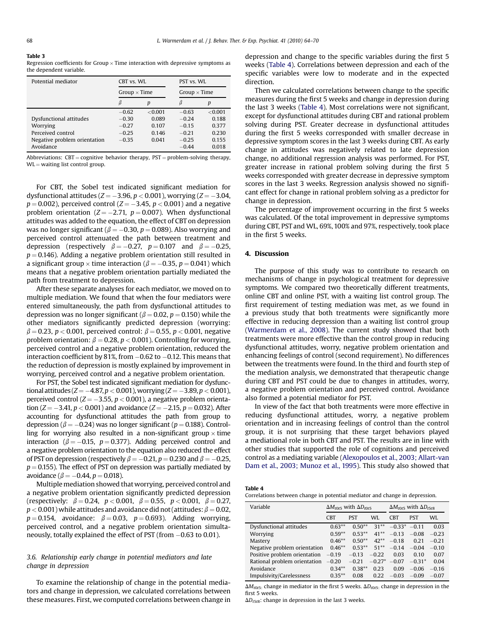#### <span id="page-4-0"></span>Table 3

Regression coefficients for Group  $\times$  Time interaction with depressive symptoms as the dependent variable.

| Potential mediator           | CBT vs. WL          |        | PST vs. WL          |         |  |
|------------------------------|---------------------|--------|---------------------|---------|--|
|                              | Group $\times$ Time |        | Group $\times$ Time |         |  |
|                              | β                   | p      | β                   | p       |  |
|                              | $-0.62$             | <0.001 | $-0.63$             | < 0.001 |  |
| Dysfunctional attitudes      | $-0.30$             | 0.089  | $-0.24$             | 0.188   |  |
| Worrying                     | $-0.27$             | 0.107  | $-0.15$             | 0.377   |  |
| Perceived control            | $-0.25$             | 0.146  | $-0.21$             | 0.230   |  |
| Negative problem orientation | $-0.35$             | 0.041  | $-0.25$             | 0.155   |  |
| Avoidance                    |                     |        | $-0.44$             | 0.018   |  |

Abbreviations:  $CBT =$  cognitive behavior therapy,  $PST =$  problem-solving therapy,  $WL =$  waiting list control group.

For CBT, the Sobel test indicated significant mediation for dysfunctional attitudes (Z =  $-3.96$ ,  $p$   $<$  0.001 ), worrying (Z =  $-3.04$ ,  $p$  = 0.002), perceived control (Z = –3.45,  $p$  < 0.001) and a negative problem orientation (Z  $=-2.71$ ,  $p=0.007$ ). When dysfunctional attitudes was added to the equation, the effect of CBT on depression was no longer significant ( $\beta \!=\! -0.30, p$   $\!=$  0.089). Also worrying and perceived control attenuated the path between treatment and depression (respectively  $\beta = -0.27$ ,  $p = 0.107$  and  $\beta = -0.25$ ,  $p = 0.146$ ). Adding a negative problem orientation still resulted in a significant group  $\times$  time interaction ( $\beta$  =  $-0.35,$   $p$  = 0.041) which means that a negative problem orientation partially mediated the path from treatment to depression.

After these separate analyses for each mediator, we moved on to multiple mediation. We found that when the four mediators were entered simultaneously, the path from dysfunctional attitudes to depression was no longer significant ( $\beta = 0.02$ ,  $p = 0.150$ ) while the other mediators significantly predicted depression (worrying:  $\beta = 0.23$ ,  $p < 0.001$ , perceived control:  $\beta = 0.55$ ,  $p < 0.001$ , negative problem orientation:  $\beta = 0.28$ ,  $p < 0.001$ ). Controlling for worrying, perceived control and a negative problem orientation, reduced the interaction coefficient by 81%, from –0.62 to –0.12. This means that the reduction of depression is mostly explained by improvement in worrying, perceived control and a negative problem orientation.

For PST, the Sobel test indicated significant mediation for dysfunctional attitudes (Z  $=$   $-4.87, p <$  0.001 ), worrying (Z  $=$   $-3.89, p <$  0.001 ), perceived control (Z =  $-3.55$ ,  $p < 0.001$ ), a negative problem orientation (Z =  $-3.41$ , p  $<$  0.001) and avoidance (Z =  $-2.15$ , p = 0.032). After accounting for dysfunctional attitudes the path from group to depression ( $\beta\!=\!-0.24$ ) was no longer significant ( $p\!=\!0.188$ ). Controlling for worrying also resulted in a non-significant group  $\times$  time interaction ( $\beta = -0.15$ ,  $p = 0.377$ ). Adding perceived control and a negative problem orientation to the equation also reduced the effect of PST on depression (respectively  $\beta\!=\!-0.21$ ,  $p\!=\!0.230$  and  $\beta\!=\!-0.25$ ,  $p = 0.155$ ). The effect of PST on depression was partially mediated by avoidance ( $\beta \rm = -0.44$ ,  $p \rm = 0.018$ ).

Multiple mediation showed that worrying, perceived control and a negative problem orientation significantly predicted depression (respectively:  $\beta = 0.24$ ,  $p < 0.001$ ,  $\beta = 0.55$ ,  $p < 0.001$ ,  $\beta = 0.27$ ,  $p < 0.001$ ) while attitudes and avoidance did not (attitudes:  $\beta = 0.02$ ,  $p = 0.154$ , avoidance:  $\beta = 0.03$ ,  $p = 0.693$ ). Adding worrying, perceived control, and a negative problem orientation simultaneously, totally explained the effect of PST (from –0.63 to 0.01).

## 3.6. Relationship early change in potential mediators and late change in depression

To examine the relationship of change in the potential mediators and change in depression, we calculated correlations between these measures. First, we computed correlations between change in depression and change to the specific variables during the first 5 weeks (Table 4). Correlations between depression and each of the specific variables were low to moderate and in the expected direction.

Then we calculated correlations between change to the specific measures during the first 5 weeks and change in depression during the last 3 weeks (Table 4). Most correlations were not significant, except for dysfunctional attitudes during CBT and rational problem solving during PST. Greater decrease in dysfunctional attitudes during the first 5 weeks corresponded with smaller decrease in depressive symptom scores in the last 3 weeks during CBT. As early change in attitudes was negatively related to late depression change, no additional regression analysis was performed. For PST, greater increase in rational problem solving during the first 5 weeks corresponded with greater decrease in depressive symptom scores in the last 3 weeks. Regression analysis showed no significant effect for change in rational problem solving as a predictor for change in depression.

The percentage of improvement occurring in the first 5 weeks was calculated. Of the total improvement in depressive symptoms during CBT, PST and WL, 69%, 100% and 97%, respectively, took place in the first 5 weeks.

## 4. Discussion

The purpose of this study was to contribute to research on mechanisms of change in psychological treatment for depressive symptoms. We compared two theoretically different treatments, online CBT and online PST, with a waiting list control group. The first requirement of testing mediation was met, as we found in a previous study that both treatments were significantly more effective in reducing depression than a waiting list control group ([Warmerdam et al., 2008\)](#page-6-0). The current study showed that both treatments were more effective than the control group in reducing dysfunctional attitudes, worry, negative problem orientation and enhancing feelings of control (second requirement). No differences between the treatments were found. In the third and fourth step of the mediation analysis, we demonstrated that therapeutic change during CBT and PST could be due to changes in attitudes, worry, a negative problem orientation and perceived control. Avoidance also formed a potential mediator for PST.

In view of the fact that both treatments were more effective in reducing dysfunctional attitudes, worry, a negative problem orientation and in increasing feelings of control than the control group, it is not surprising that these target behaviors played a mediational role in both CBT and PST. The results are in line with other studies that supported the role of cognitions and perceived control as a mediating variable ([Alexopoulos et al., 2003; Allart-van](#page-5-0) [Dam et al., 2003; Munoz et al., 1995](#page-5-0)). This study also showed that

| Table 4                                                                     |  |
|-----------------------------------------------------------------------------|--|
| Correlations between change in potential mediator and change in depression. |  |

| Variable                     |            | $\Delta M_{\text{r0}}$ with $\Delta D_{\text{r0}}$ |          | $\Delta M_{\text{r0}t5}$ with $\Delta D_{\text{r5}t8}$ |            |         |  |
|------------------------------|------------|----------------------------------------------------|----------|--------------------------------------------------------|------------|---------|--|
|                              | <b>CBT</b> | <b>PST</b>                                         | WI.      | <b>CRT</b>                                             | <b>PST</b> | WI.     |  |
| Dysfunctional attitudes      | $0.63**$   | $0.50**$                                           | $31**$   | $-0.33^*$ $-0.11$                                      |            | 0.03    |  |
| Worrying                     | $0.59**$   | $0.53**$                                           | $41**$   | $-0.13$                                                | $-0.08$    | $-0.23$ |  |
| Mastery                      | $0.46***$  | $0.50**$                                           | $42**$   | $-0.18$                                                | 0.21       | $-0.21$ |  |
| Negative problem orientation | $0.46***$  | $0.53**$                                           | $51**$   | $-0.14$                                                | $-0.04$    | $-0.10$ |  |
| Positive problem orientation | $-0.19$    | $-0.13$                                            | $-0.22$  | 0.03                                                   | 0.10       | 0.07    |  |
| Rational problem orientation | $-0.20$    | $-0.21$                                            | $-0.27*$ | $-0.07$                                                | $-0.31*$   | 0.04    |  |
| Avoidance                    | $0.34**$   | $0.38**$                                           | 0.23     | 0.09                                                   | $-0.06$    | $-0.16$ |  |
| Impulsivity/Carelessness     | $0.35***$  | 0.08                                               | 0.22     | $-0.03$                                                | $-0.09$    | $-0.07$ |  |

 $\Delta M_{t0t5}$ : change in mediator in the first 5 weeks.  $\Delta D_{t0t5}$ : change in depression in the first 5 weeks.

 $\Delta D_{t5t8}$ : change in depression in the last 3 weeks.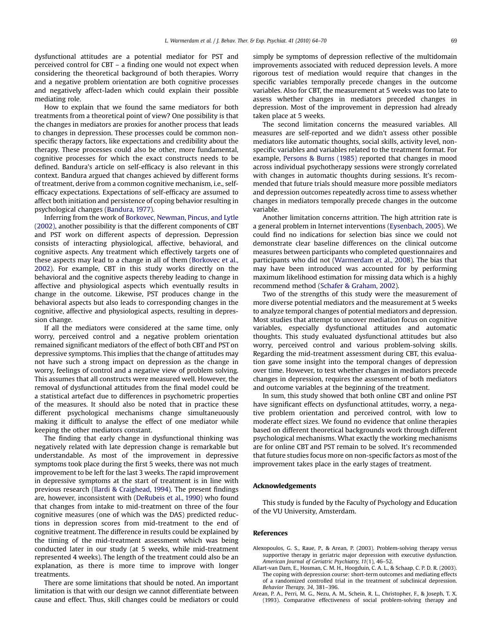<span id="page-5-0"></span>dysfunctional attitudes are a potential mediator for PST and perceived control for CBT – a finding one would not expect when considering the theoretical background of both therapies. Worry and a negative problem orientation are both cognitive processes and negatively affect-laden which could explain their possible mediating role.

How to explain that we found the same mediators for both treatments from a theoretical point of view? One possibility is that the changes in mediators are proxies for another process that leads to changes in depression. These processes could be common nonspecific therapy factors, like expectations and credibility about the therapy. These processes could also be other, more fundamental, cognitive processes for which the exact constructs needs to be defined. Bandura's article on self-efficacy is also relevant in this context. Bandura argued that changes achieved by different forms of treatment, derive from a common cognitive mechanism, i.e., selfefficacy expectations. Expectations of self-efficacy are assumed to affect both initiation and persistence of coping behavior resulting in psychological changes ([Bandura, 1977](#page-6-0)).

Inferring from the work of [Borkovec, Newman, Pincus, and Lytle](#page-6-0) [\(2002\),](#page-6-0) another possibility is that the different components of CBT and PST work on different aspects of depression. Depression consists of interacting physiological, affective, behavioral, and cognitive aspects. Any treatment which effectively targets one of these aspects may lead to a change in all of them [\(Borkovec et al.,](#page-6-0) [2002\)](#page-6-0). For example, CBT in this study works directly on the behavioral and the cognitive aspects thereby leading to change in affective and physiological aspects which eventually results in change in the outcome. Likewise, PST produces change in the behavioral aspects but also leads to corresponding changes in the cognitive, affective and physiological aspects, resulting in depression change.

If all the mediators were considered at the same time, only worry, perceived control and a negative problem orientation remained significant mediators of the effect of both CBT and PST on depressive symptoms. This implies that the change of attitudes may not have such a strong impact on depression as the change in worry, feelings of control and a negative view of problem solving. This assumes that all constructs were measured well. However, the removal of dysfunctional attitudes from the final model could be a statistical artefact due to differences in psychometric properties of the measures. It should also be noted that in practice these different psychological mechanisms change simultaneuously making it difficult to analyse the effect of one mediator while keeping the other mediators constant.

The finding that early change in dysfunctional thinking was negatively related with late depression change is remarkable but understandable. As most of the improvement in depressive symptoms took place during the first 5 weeks, there was not much improvement to be left for the last 3 weeks. The rapid improvement in depressive symptoms at the start of treatment is in line with previous research ([Ilardi & Craighead, 1994](#page-6-0)). The present findings are, however, inconsistent with ([DeRubeis et al., 1990](#page-6-0)) who found that changes from intake to mid-treatment on three of the four cognitive measures (one of which was the DAS) predicted reductions in depression scores from mid-treatment to the end of cognitive treatment. The difference in results could be explained by the timing of the mid-treatment assessment which was being conducted later in our study (at 5 weeks, while mid-treatment represented 4 weeks). The length of the treatment could also be an explanation, as there is more time to improve with longer treatments.

There are some limitations that should be noted. An important limitation is that with our design we cannot differentiate between cause and effect. Thus, skill changes could be mediators or could simply be symptoms of depression reflective of the multidomain improvements associated with reduced depression levels. A more rigorous test of mediation would require that changes in the specific variables temporally precede changes in the outcome variables. Also for CBT, the measurement at 5 weeks was too late to assess whether changes in mediators preceded changes in depression. Most of the improvement in depression had already taken place at 5 weeks.

The second limitation concerns the measured variables. All measures are self-reported and we didn't assess other possible mediators like automatic thoughts, social skills, activity level, nonspecific variables and variables related to the treatment format. For example, [Persons & Burns \(1985\)](#page-6-0) reported that changes in mood across individual psychotherapy sessions were strongly correlated with changes in automatic thoughts during sessions. It's recommended that future trials should measure more possible mediators and depression outcomes repeatedly across time to assess whether changes in mediators temporally precede changes in the outcome variable.

Another limitation concerns attrition. The high attrition rate is a general problem in Internet interventions ([Eysenbach, 2005\)](#page-6-0). We could find no indications for selection bias since we could not demonstrate clear baseline differences on the clinical outcome measures between participants who completed questionnaires and participants who did not [\(Warmerdam et al., 2008](#page-6-0)). The bias that may have been introduced was accounted for by performing maximum likelihood estimation for missing data which is a highly recommend method ([Schafer & Graham, 2002\)](#page-6-0).

Two of the strengths of this study were the measurement of more diverse potential mediators and the measurement at 5 weeks to analyze temporal changes of potential mediators and depression. Most studies that attempt to uncover mediation focus on cognitive variables, especially dysfunctional attitudes and automatic thoughts. This study evaluated dysfunctional attitudes but also worry, perceived control and various problem-solving skills. Regarding the mid-treatment assessment during CBT, this evaluation gave some insight into the temporal changes of depression over time. However, to test whether changes in mediators precede changes in depression, requires the assessment of both mediators and outcome variables at the beginning of the treatment.

In sum, this study showed that both online CBT and online PST have significant effects on dysfunctional attitudes, worry, a negative problem orientation and perceived control, with low to moderate effect sizes. We found no evidence that online therapies based on different theoretical backgrounds work through different psychological mechanisms. What exactly the working mechanisms are for online CBT and PST remain to be solved. It's recommended that future studies focus more on non-specific factors as most of the improvement takes place in the early stages of treatment.

#### Acknowledgements

This study is funded by the Faculty of Psychology and Education of the VU University, Amsterdam.

## References

- Alexopoulos, G. S., Raue, P., & Arean, P. (2003). Problem-solving therapy versus supportive therapy in geriatric major depression with executive dysfunction. American Journal of Geriatric Psychiatry, 11(1), 46–52.
- Allart-van Dam, E., Hosman, C. M. H., Hoogduin, C. A. L., & Schaap, C. P. D. R. (2003). The coping with depression course: short-term outcomes and mediating effects of a randomized controlled trial in the treatment of subclinical depression. Behavior Therapy, 34, 381–396.
- Arean, P. A., Perri, M. G., Nezu, A. M., Schein, R. L., Christopher, F., & Joseph, T. X. (1993). Comparative effectiveness of social problem-solving therapy and